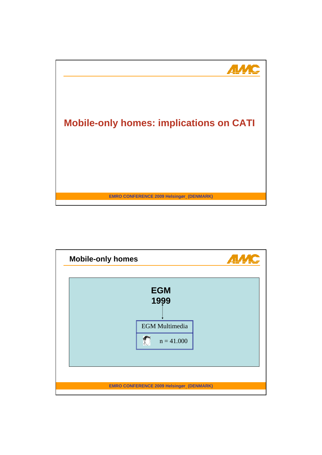

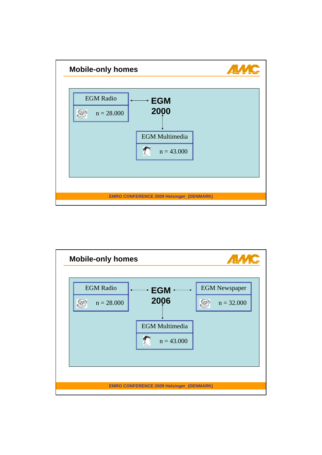

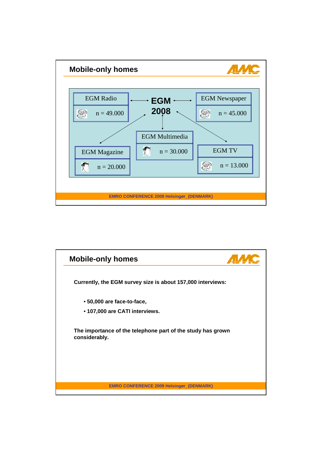

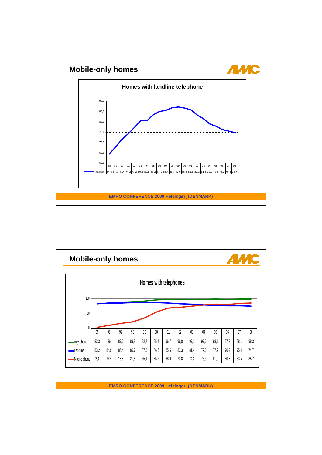

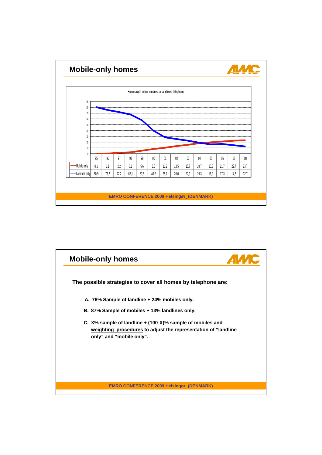

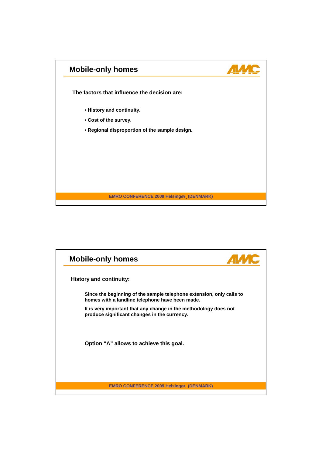

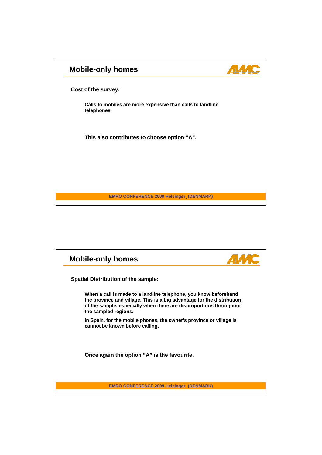

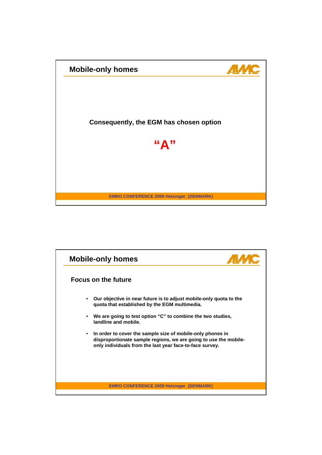